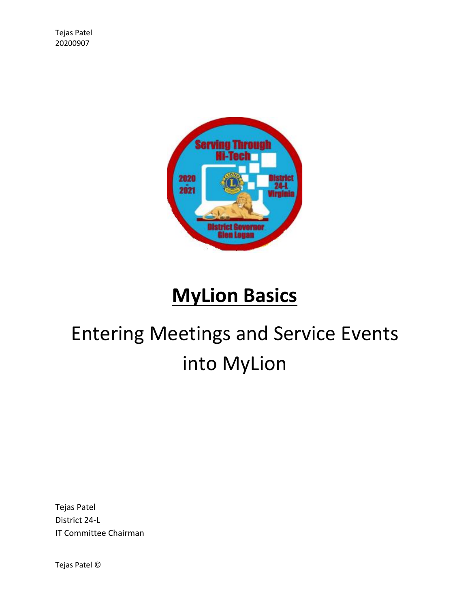

## **MyLion Basics**

# Entering Meetings and Service Events into MyLion

Tejas Patel District 24-L IT Committee Chairman

Tejas Patel ©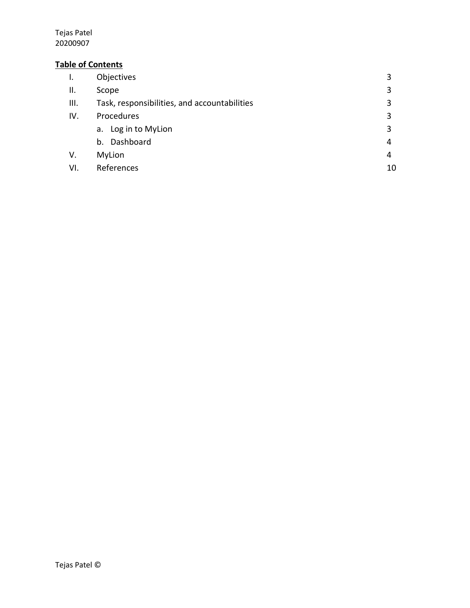#### **Table of Contents**

| $\mathbf{I}$ . | Objectives                                   |    |
|----------------|----------------------------------------------|----|
| Ш.             | Scope                                        | 3  |
| III.           | Task, responsibilities, and accountabilities | 3  |
| IV.            | Procedures                                   | 3  |
|                | a. Log in to MyLion                          | 3  |
|                | Dashboard<br>b.                              | 4  |
| V.             | MyLion                                       | 4  |
| VI.            | References                                   | 10 |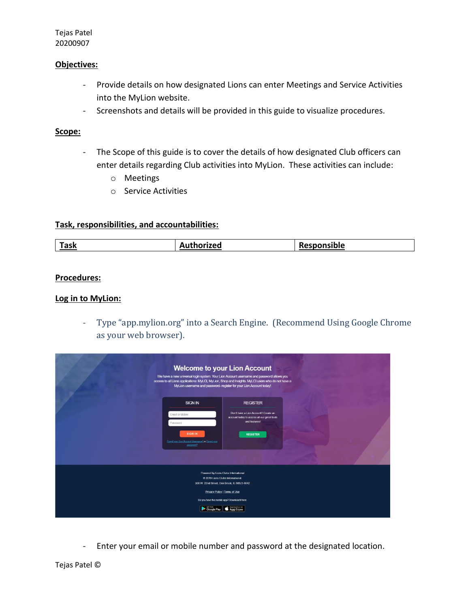#### **Objectives:**

- Provide details on how designated Lions can enter Meetings and Service Activities into the MyLion website.
- Screenshots and details will be provided in this guide to visualize procedures.

#### **Scope:**

- The Scope of this guide is to cover the details of how designated Club officers can enter details regarding Club activities into MyLion. These activities can include:
	- o Meetings
	- o Service Activities

#### **Task, responsibilities, and accountabilities:**

| п.<br><u>íask</u><br>sible |  |
|----------------------------|--|
|----------------------------|--|

#### **Procedures:**

#### **Log in to MyLion:**

- Type "app.mylion.org" into a Search Engine. (Recommend Using Google Chrome as your web browser).

| We have a new universal login system. Your Lion Account usemame and password allows you<br>access to all Lions applications: MyLCI, MyLion, Shop and Insights. MyLCI users who do not have a | <b>Welcome to your Lion Account</b><br>MyLion username and password- register for your Lion Account today!                                                                          |  |
|----------------------------------------------------------------------------------------------------------------------------------------------------------------------------------------------|-------------------------------------------------------------------------------------------------------------------------------------------------------------------------------------|--|
| <b>SIGN IN</b><br>Email or Mobile<br>Password<br><b>SIGN IN</b><br>Forgot your Lion Account Username? or Forgot your<br>DRISSHOND?                                                           | <b>REGISTER</b><br>Don't have a Lion Account? Create an<br>account today to access all our great tools<br>and features!<br><b>REGISTER</b>                                          |  |
| @ 2019 Lions Clubs International<br>Google Play                                                                                                                                              | Powered by Lions Clubs International<br>300 W. 22nd Street, Oak Brook, IL 60523-8842<br>Privacy Policy   Terms of Use<br>Do you have the mobile app? Download it here.<br>App Store |  |

- Enter your email or mobile number and password at the designated location.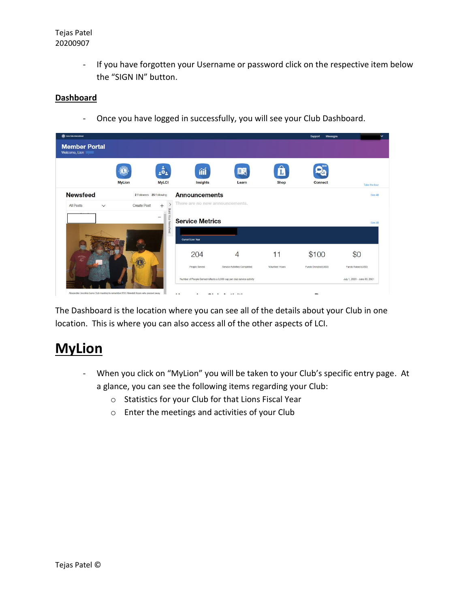- If you have forgotten your Username or password click on the respective item below the "SIGN IN" button.

#### **Dashboard**

- Once you have logged in successfully, you will see your Club Dashboard.

| <b>OR</b> Lions Cubs International    |                    |                                                      |                                 |                                                                        |                 | Messages<br><b>Support</b> |                              |
|---------------------------------------|--------------------|------------------------------------------------------|---------------------------------|------------------------------------------------------------------------|-----------------|----------------------------|------------------------------|
| <b>Member Portal</b><br>Welcome, Lion |                    |                                                      |                                 |                                                                        |                 |                            |                              |
|                                       |                    | $\ddot{\phi}_2$                                      | íĭÍ                             | 歐                                                                      |                 |                            |                              |
|                                       | <b>MyLion</b>      | <b>MyLCI</b>                                         | Insights                        | Learn                                                                  | <b>Shop</b>     | <b>Connect</b>             | Take the tour                |
| <b>Newsfeed</b>                       |                    | 2 Followers 25 Following                             | <b>Announcements</b>            |                                                                        |                 |                            | See All                      |
| All Posts<br>$\checkmark$             | <b>Create Post</b> | $^{+}$                                               | There are no new announcements. |                                                                        |                 |                            |                              |
|                                       |                    | $\overline{\Omega}$<br>Your Nei<br>$\cdots$<br>peers | <b>Service Metrics</b>          |                                                                        |                 |                            | See All                      |
|                                       |                    |                                                      | Current Lion Year               |                                                                        |                 |                            |                              |
| 學學                                    |                    |                                                      | 204                             | $\overline{4}$                                                         | 11              | \$100                      | \$0                          |
|                                       |                    |                                                      | People Served                   | Service Activities Completed                                           | Volunteer Hours | Funds Donated (USD)        | Funds Raised (USD)           |
|                                       |                    |                                                      |                                 | Number of People Served reflects a 3,000 cap per club service activity |                 |                            | July 1, 2020 - June 30, 2021 |

The Dashboard is the location where you can see all of the details about your Club in one location. This is where you can also access all of the other aspects of LCI.

### **MyLion**

- When you click on "MyLion" you will be taken to your Club's specific entry page. At a glance, you can see the following items regarding your Club:
	- o Statistics for your Club for that Lions Fiscal Year
	- o Enter the meetings and activities of your Club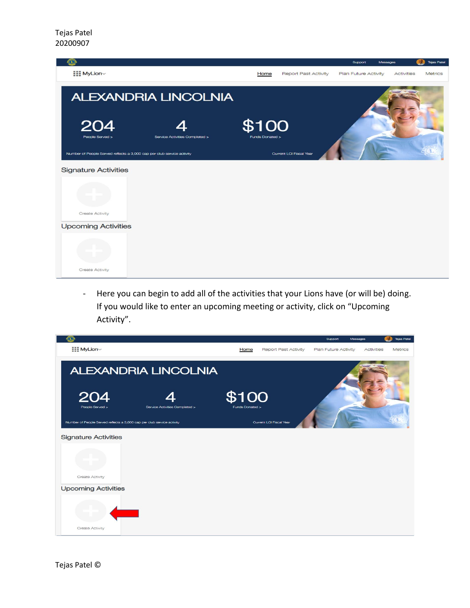

- Here you can begin to add all of the activities that your Lions have (or will be) doing. If you would like to enter an upcoming meeting or activity, click on "Upcoming Activity".

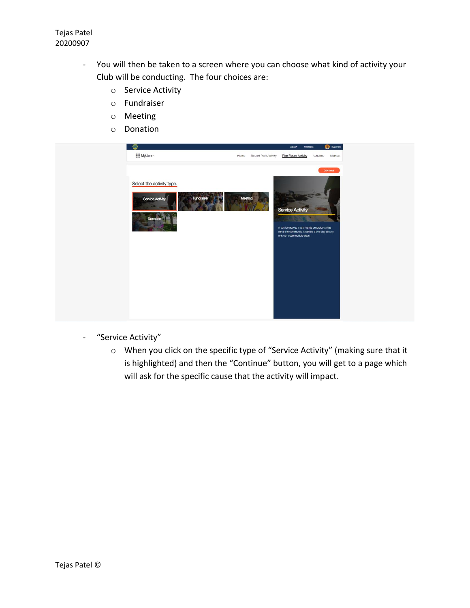- You will then be taken to a screen where you can choose what kind of activity your Club will be conducting. The four choices are:
	- o Service Activity
	- o Fundraiser
	- o Meeting
	- o Donation



- "Service Activity"
	- o When you click on the specific type of "Service Activity" (making sure that it is highlighted) and then the "Continue" button, you will get to a page which will ask for the specific cause that the activity will impact.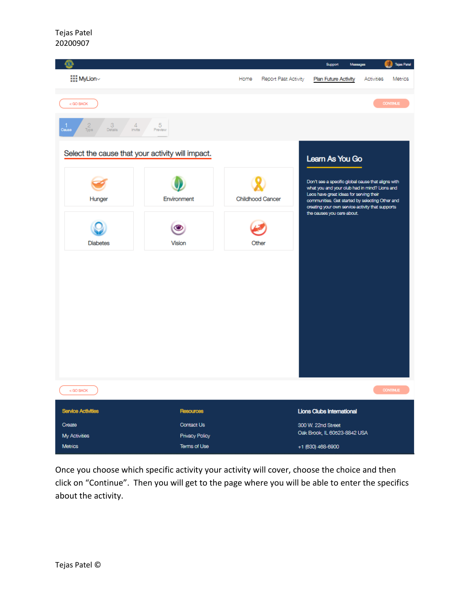

Once you choose which specific activity your activity will cover, choose the choice and then click on "Continue". Then you will get to the page where you will be able to enter the specifics about the activity.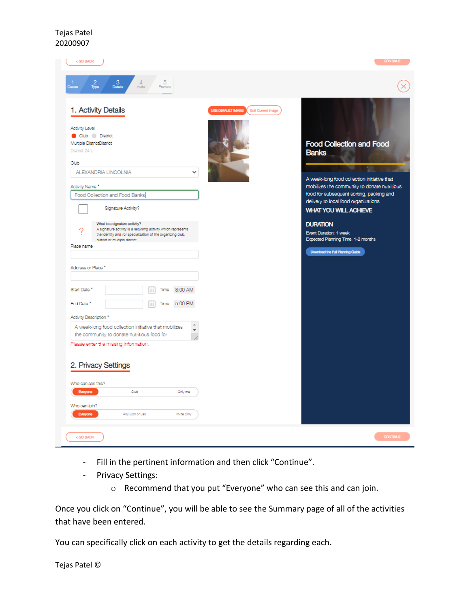| < GO BACK                                                                                                                                                                        |                                      |                                                | <b>CONTINUE</b>                                                                          |
|----------------------------------------------------------------------------------------------------------------------------------------------------------------------------------|--------------------------------------|------------------------------------------------|------------------------------------------------------------------------------------------|
| 1<br>Cause<br>$\frac{3}{\text{Dstalls}}$<br>$\frac{4}{\text{invite}}$<br>5 <sub>Perb</sub><br>$\frac{2}{\text{Type}}$                                                            |                                      |                                                |                                                                                          |
| 1. Activity Details                                                                                                                                                              |                                      | <b>USE DEFAULT IMAGE</b><br>Edit Current Image |                                                                                          |
| <b>Activity Level</b><br>Club District<br>Multiple DistrictDistrict<br>District 24 L                                                                                             |                                      |                                                | <b>Food Collection and Food</b><br><b>Banks</b>                                          |
| Club<br>ALEXANDRIA LINCOLNIA                                                                                                                                                     | $\checkmark$                         |                                                |                                                                                          |
|                                                                                                                                                                                  |                                      |                                                | A week-long food collection initiative that                                              |
| Activity Name *<br>Food Collection and Food Banks                                                                                                                                |                                      |                                                | mobilizes the community to donate nutritious<br>food for subsequent sorting, packing and |
| Signature Activity?                                                                                                                                                              |                                      |                                                | delivery to local food organizations<br><b>WHAT YOU WILL ACHIEVE</b>                     |
|                                                                                                                                                                                  |                                      |                                                |                                                                                          |
| What is a signature activity?<br>A signature activity is a recurring activity which represents<br>っ<br>the identity and /or specialization of the organizing club,               |                                      |                                                | <b>DURATION</b><br>Event Duration: 1 week                                                |
|                                                                                                                                                                                  |                                      |                                                |                                                                                          |
| district or multiple district.                                                                                                                                                   |                                      |                                                | Expected Planning Time: 1-2 months                                                       |
|                                                                                                                                                                                  |                                      |                                                | Download the Full Planning Guide                                                         |
|                                                                                                                                                                                  |                                      |                                                |                                                                                          |
|                                                                                                                                                                                  |                                      |                                                |                                                                                          |
| ₩<br>Time                                                                                                                                                                        | 8:00 AM                              |                                                |                                                                                          |
| ∷∷<br>Time                                                                                                                                                                       | 5:00 PM                              |                                                |                                                                                          |
|                                                                                                                                                                                  |                                      |                                                |                                                                                          |
| A week-long food collection initiative that mobilizes                                                                                                                            | $\Delta$<br>$\overline{\phantom{a}}$ |                                                |                                                                                          |
| Place name<br>Address or Place *<br>Start Date *<br>End Date *<br>Activity Description *<br>the community to donate nutritious food for<br>Please enter the missing information. |                                      |                                                |                                                                                          |
|                                                                                                                                                                                  |                                      |                                                |                                                                                          |
|                                                                                                                                                                                  |                                      |                                                |                                                                                          |
|                                                                                                                                                                                  |                                      |                                                |                                                                                          |
| Everyone<br>Club                                                                                                                                                                 | Only me                              |                                                |                                                                                          |
| 2. Privacy Settings<br>Who can see this?<br>Who can join?                                                                                                                        |                                      |                                                |                                                                                          |

- Fill in the pertinent information and then click "Continue".
- Privacy Settings:
	- o Recommend that you put "Everyone" who can see this and can join.

Once you click on "Continue", you will be able to see the Summary page of all of the activities that have been entered.

You can specifically click on each activity to get the details regarding each.

Tejas Patel ©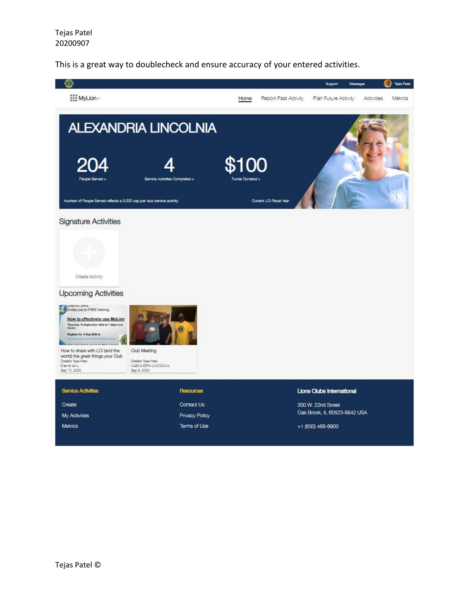This is a great way to doublecheck and ensure accuracy of your entered activities.